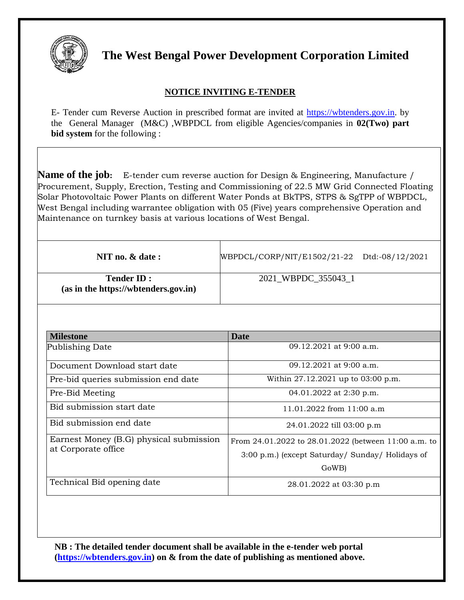

**The West Bengal Power Development Corporation Limited**

## **NOTICE INVITING E-TENDER**

E- Tender cum Reverse Auction in prescribed format are invited at [https://wbtenders.gov.in.](https://wbtenders.gov.in/) by the General Manager (M&C) ,WBPDCL from eligible Agencies/companies in **02(Two) part bid system** for the following :

**Name of the job:** E-tender cum reverse auction for Design & Engineering, Manufacture / Procurement, Supply, Erection, Testing and Commissioning of 22.5 MW Grid Connected Floating Solar Photovoltaic Power Plants on different Water Ponds at BkTPS, STPS & SgTPP of WBPDCL, West Bengal including warrantee obligation with 05 (Five) years comprehensive Operation and Maintenance on turnkey basis at various locations of West Bengal.

| NIT no. $&$ date :                                        | WBPDCL/CORP/NIT/E1502/21-22 Dtd:-08/12/2021 |  |
|-----------------------------------------------------------|---------------------------------------------|--|
| <b>Tender ID:</b><br>(as in the https://wbtenders.gov.in) | 2021 WBPDC 355043 1                         |  |

| <b>Milestone</b>                                               | <b>Date</b>                                          |  |
|----------------------------------------------------------------|------------------------------------------------------|--|
| Publishing Date                                                | 09.12.2021 at 9:00 a.m.                              |  |
| Document Download start date                                   | 09.12.2021 at 9:00 a.m.                              |  |
| Pre-bid queries submission end date                            | Within 27.12.2021 up to 03:00 p.m.                   |  |
| Pre-Bid Meeting                                                | 04.01.2022 at 2:30 p.m.                              |  |
| Bid submission start date                                      | 11.01.2022 from $11:00$ a.m.                         |  |
| Bid submission end date                                        | 24.01.2022 till 03:00 p.m                            |  |
| Earnest Money (B.G) physical submission<br>at Corporate office | From 24.01.2022 to 28.01.2022 (between 11:00 a.m. to |  |
|                                                                | 3:00 p.m.) (except Saturday/ Sunday/ Holidays of     |  |
|                                                                | GoWB)                                                |  |
| Technical Bid opening date                                     | 28.01.2022 at 03:30 p.m                              |  |

**NB : The detailed tender document shall be available in the e-tender web portal [\(https://wbtenders.gov.in\)](https://wbtenders.gov.in/) on & from the date of publishing as mentioned above.**